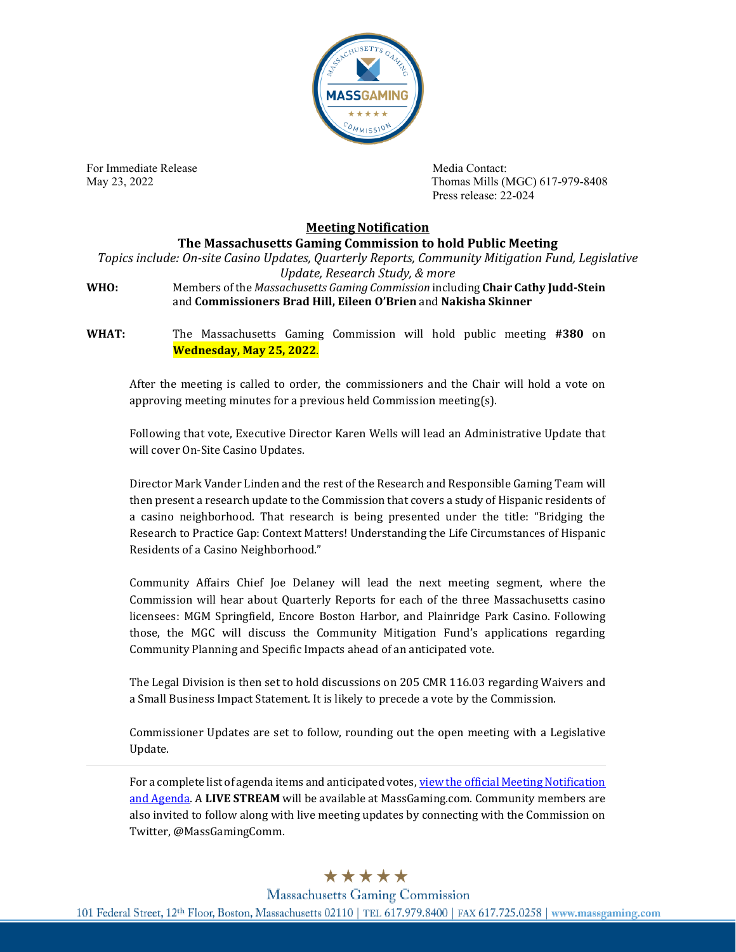

For Immediate Release **Media Contact:** Media Contact:

May 23, 2022 Thomas Mills (MGC) 617-979-8408 Press release: 22-024

## **Meeting Notification**

## **The Massachusetts Gaming Commission to hold Public Meeting** *Topics include: On-site Casino Updates, Quarterly Reports, Community Mitigation Fund, Legislative*

*Update, Research Study, & more*

**WHO:** Members of the *Massachusetts Gaming Commission* including **Chair Cathy Judd-Stein** and **Commissioners Brad Hill, Eileen O'Brien** and **Nakisha Skinner**

**WHAT:** The Massachusetts Gaming Commission will hold public meeting **#380** on **Wednesday, May 25, 2022**.

After the meeting is called to order, the commissioners and the Chair will hold a vote on approving meeting minutes for a previous held Commission meeting(s).

Following that vote, Executive Director Karen Wells will lead an Administrative Update that will cover On-Site Casino Updates.

Director Mark Vander Linden and the rest of the Research and Responsible Gaming Team will then present a research update to the Commission that covers a study of Hispanic residents of a casino neighborhood. That research is being presented under the title: "Bridging the Research to Practice Gap: Context Matters! Understanding the Life Circumstances of Hispanic Residents of a Casino Neighborhood."

Community Affairs Chief Joe Delaney will lead the next meeting segment, where the Commission will hear about Quarterly Reports for each of the three Massachusetts casino licensees: MGM Springfield, Encore Boston Harbor, and Plainridge Park Casino. Following those, the MGC will discuss the Community Mitigation Fund's applications regarding Community Planning and Specific Impacts ahead of an anticipated vote.

The Legal Division is then set to hold discussions on 205 CMR 116.03 regarding Waivers and a Small Business Impact Statement. It is likely to precede a vote by the Commission.

Commissioner Updates are set to follow, rounding out the open meeting with a Legislative Update.

For a complete list of agenda items and anticipated votes, yiew the official Meeting Notification [and Agenda.](https://massgaming.com/news-events/article/mgc-open-meeting-may-25-2022/) A **LIVE STREAM** will be available at [MassGaming.com.](https://massgaming.com/) Community members are also invited to follow along with live meeting updates by connecting with the Commission on Twitter, [@MassGamingComm.](https://twitter.com/massgamingcomm)

## \*\*\*\*\*

**Massachusetts Gaming Commission** 

101 Federal Street, 12th Floor, Boston, Massachusetts 02110 | TEL 617.979.8400 | FAX 617.725.0258 | www.massgaming.com